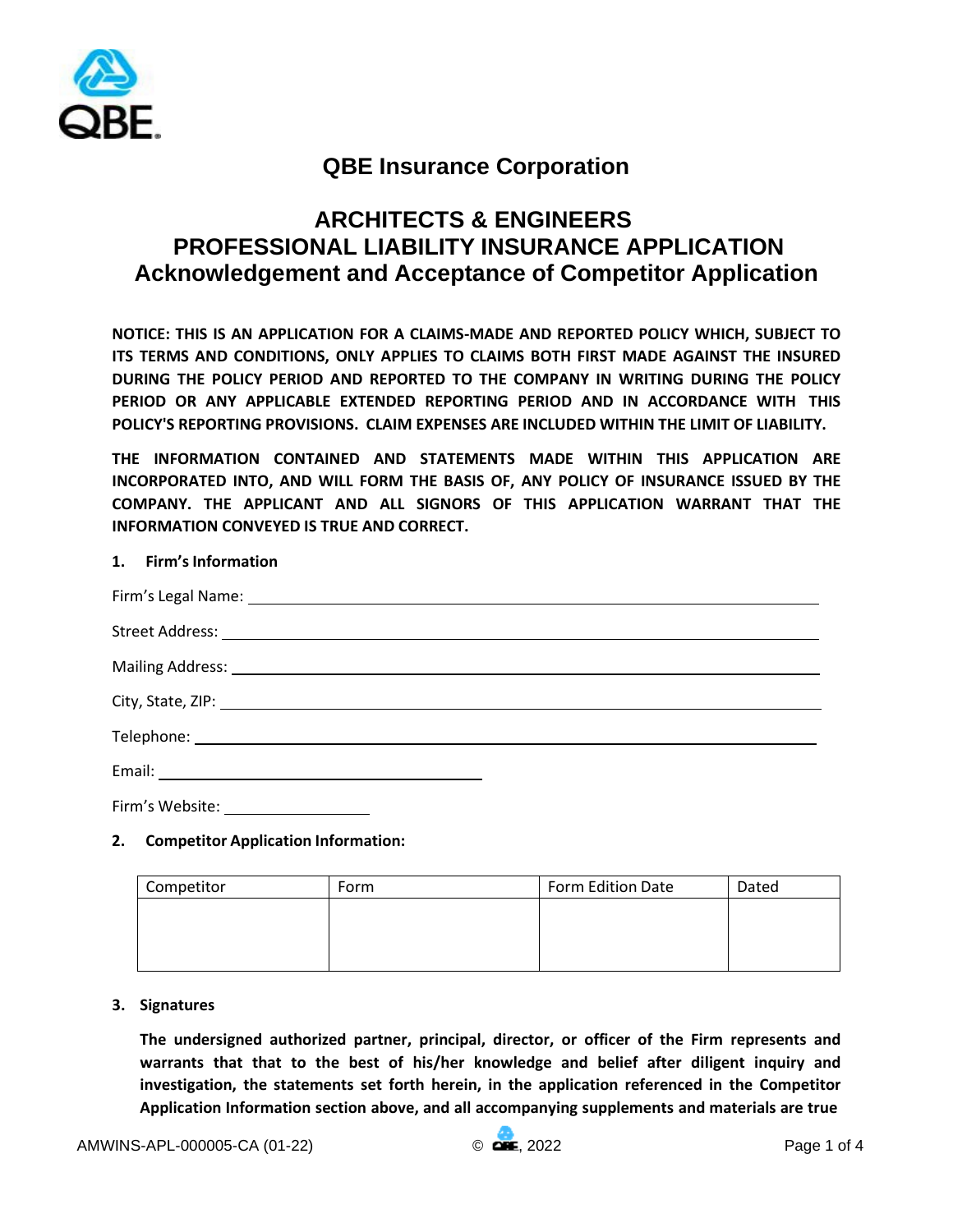

# **QBE Insurance Corporation**

# **ARCHITECTS & ENGINEERS PROFESSIONAL LIABILITY INSURANCE APPLICATION Acknowledgement and Acceptance of Competitor Application**

**NOTICE: THIS IS AN APPLICATION FOR A CLAIMS-MADE AND REPORTED POLICY WHICH, SUBJECT TO ITS TERMS AND CONDITIONS, ONLY APPLIES TO CLAIMS BOTH FIRST MADE AGAINST THE INSURED DURING THE POLICY PERIOD AND REPORTED TO THE COMPANY IN WRITING DURING THE POLICY PERIOD OR ANY APPLICABLE EXTENDED REPORTING PERIOD AND IN ACCORDANCE WITH THIS POLICY'S REPORTING PROVISIONS. CLAIM EXPENSES ARE INCLUDED WITHIN THE LIMIT OF LIABILITY.** 

**THE INFORMATION CONTAINED AND STATEMENTS MADE WITHIN THIS APPLICATION ARE INCORPORATED INTO, AND WILL FORM THE BASIS OF, ANY POLICY OF INSURANCE ISSUED BY THE COMPANY. THE APPLICANT AND ALL SIGNORS OF THIS APPLICATION WARRANT THAT THE INFORMATION CONVEYED IS TRUE AND CORRECT.** 

# **1. Firm's Information**

| Firm's Legal Name: Name and Second Contract and Second Contract of the Contract of the Contract of the Contract of the Contract of the Contract of the Contract of the Contract of the Contract of the Contract of the Contrac |  |
|--------------------------------------------------------------------------------------------------------------------------------------------------------------------------------------------------------------------------------|--|
|                                                                                                                                                                                                                                |  |
|                                                                                                                                                                                                                                |  |
|                                                                                                                                                                                                                                |  |
|                                                                                                                                                                                                                                |  |
|                                                                                                                                                                                                                                |  |
| Firm's Website:                                                                                                                                                                                                                |  |

# **2. Competitor Application Information:**

| Competitor | Form | Form Edition Date | Dated |
|------------|------|-------------------|-------|
|            |      |                   |       |
|            |      |                   |       |
|            |      |                   |       |

# **3. Signatures**

**The undersigned authorized partner, principal, director, or officer of the Firm represents and warrants that that to the best of his/her knowledge and belief after diligent inquiry and investigation, the statements set forth herein, in the application referenced in the Competitor Application Information section above, and all accompanying supplements and materials are true**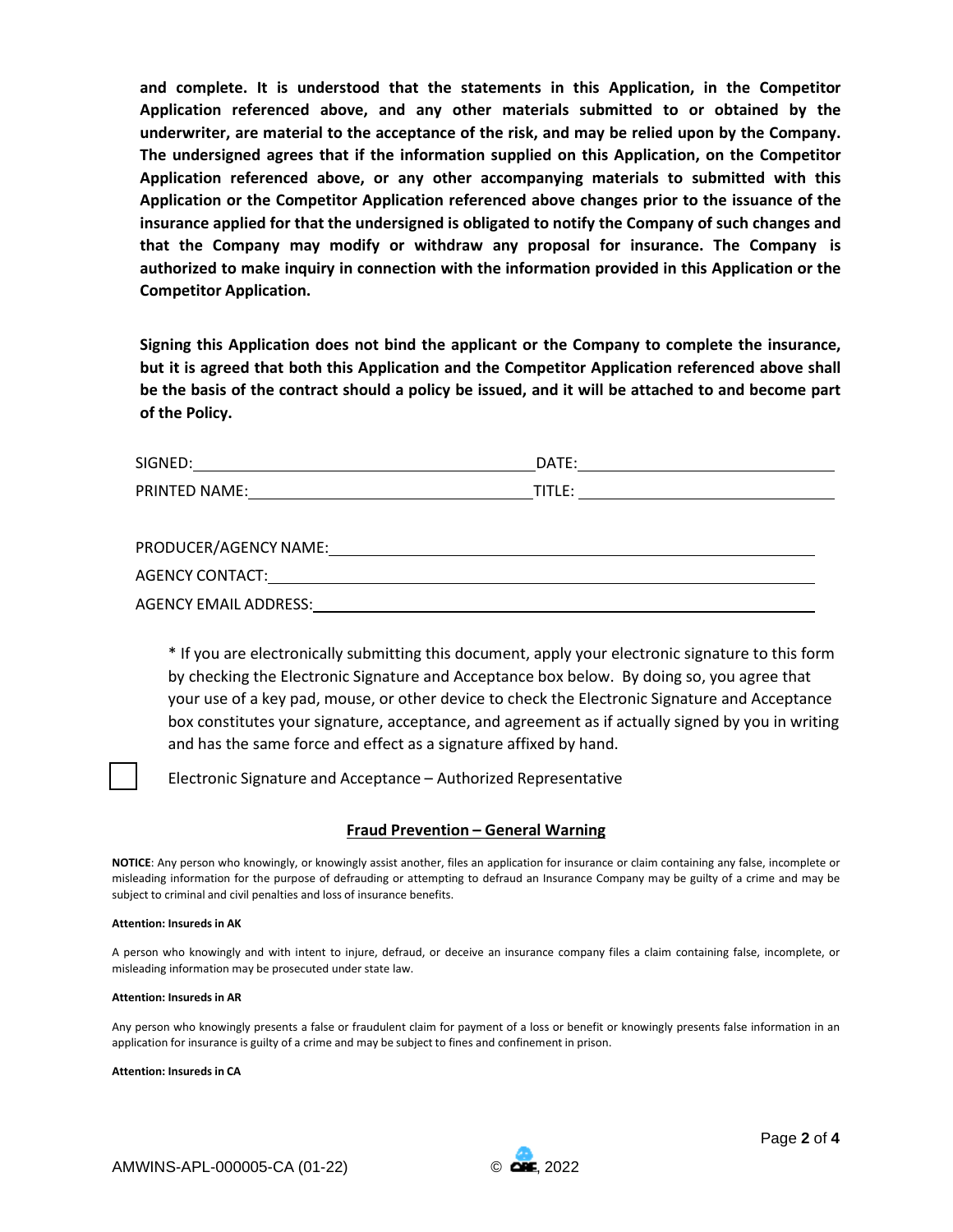**and complete. It is understood that the statements in this Application, in the Competitor Application referenced above, and any other materials submitted to or obtained by the underwriter, are material to the acceptance of the risk, and may be relied upon by the Company. The undersigned agrees that if the information supplied on this Application, on the Competitor Application referenced above, or any other accompanying materials to submitted with this Application or the Competitor Application referenced above changes prior to the issuance of the insurance applied for that the undersigned is obligated to notify the Company of such changes and that the Company may modify or withdraw any proposal for insurance. The Company is authorized to make inquiry in connection with the information provided in this Application or the Competitor Application.** 

**Signing this Application does not bind the applicant or the Company to complete the insurance, but it is agreed that both this Application and the Competitor Application referenced above shall be the basis of the contract should a policy be issued, and it will be attached to and become part of the Policy.** 

| SIGNED:       | DATE:  |
|---------------|--------|
| PRINTED NAME: | TITLE: |
|               |        |

| PRODUCER/AGENCY NAME: |  |
|-----------------------|--|
| AGENCY CONTACT:       |  |
| AGENCY EMAIL ADDRESS: |  |

\* If you are electronically submitting this document, apply your electronic signature to this form by checking the Electronic Signature and Acceptance box below. By doing so, you agree that your use of a key pad, mouse, or other device to check the Electronic Signature and Acceptance box constitutes your signature, acceptance, and agreement as if actually signed by you in writing and has the same force and effect as a signature affixed by hand.

Electronic Signature and Acceptance – Authorized Representative

# **Fraud Prevention – General Warning**

**NOTICE**: Any person who knowingly, or knowingly assist another, files an application for insurance or claim containing any false, incomplete or misleading information for the purpose of defrauding or attempting to defraud an Insurance Company may be guilty of a crime and may be subject to criminal and civil penalties and loss of insurance benefits.

## **Attention: Insureds in AK**

A person who knowingly and with intent to injure, defraud, or deceive an insurance company files a claim containing false, incomplete, or misleading information may be prosecuted under state law.

## **Attention: Insureds in AR**

Any person who knowingly presents a false or fraudulent claim for payment of a loss or benefit or knowingly presents false information in an application for insurance is guilty of a crime and may be subject to fines and confinement in prison.

**Attention: Insureds in CA** 

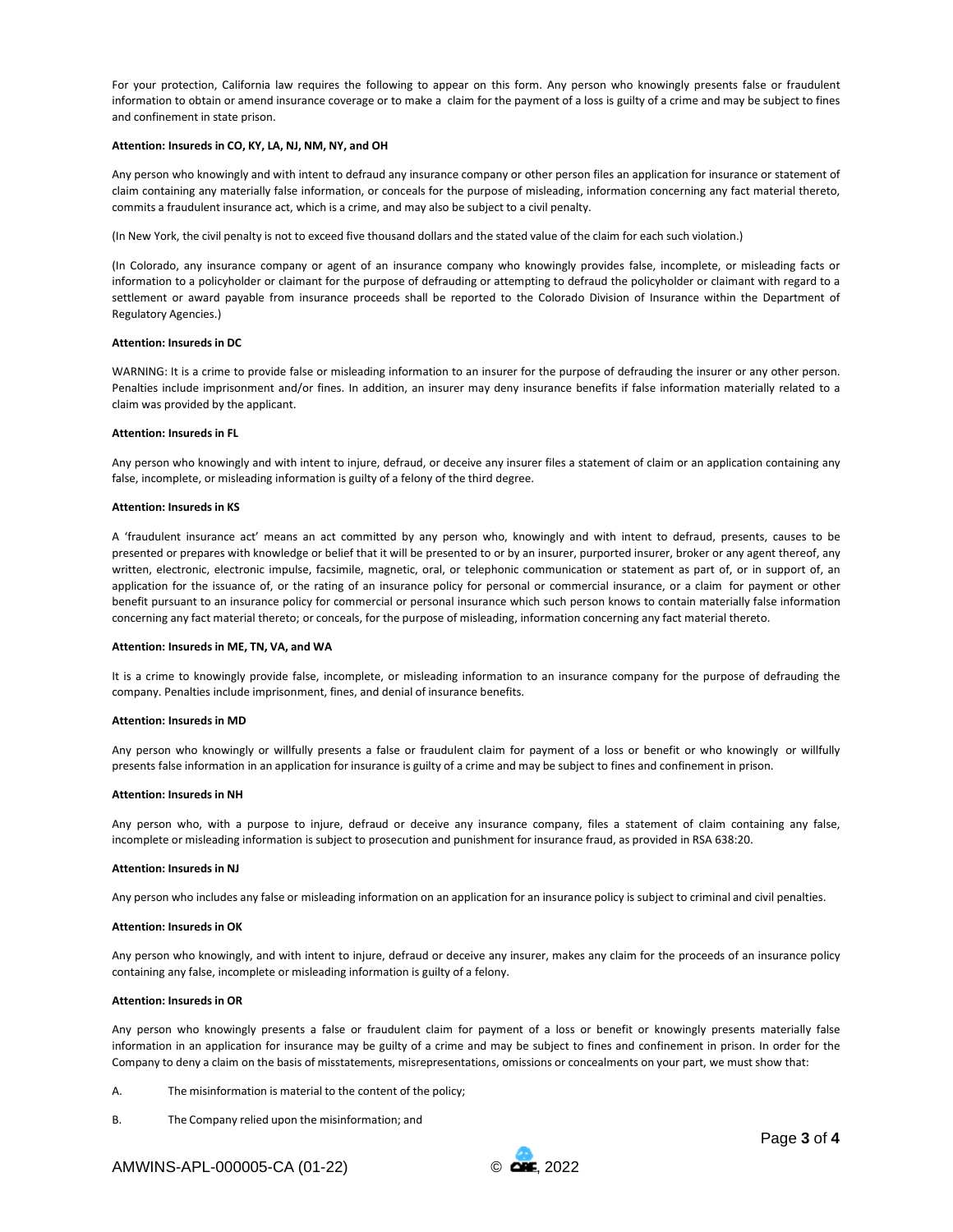For your protection, California law requires the following to appear on this form. Any person who knowingly presents false or fraudulent information to obtain or amend insurance coverage or to make a claim for the payment of a loss is guilty of a crime and may be subject to fines and confinement in state prison.

### **Attention: Insureds in CO, KY, LA, NJ, NM, NY, and OH**

Any person who knowingly and with intent to defraud any insurance company or other person files an application for insurance or statement of claim containing any materially false information, or conceals for the purpose of misleading, information concerning any fact material thereto, commits a fraudulent insurance act, which is a crime, and may also be subject to a civil penalty.

(In New York, the civil penalty is not to exceed five thousand dollars and the stated value of the claim for each such violation.)

(In Colorado, any insurance company or agent of an insurance company who knowingly provides false, incomplete, or misleading facts or information to a policyholder or claimant for the purpose of defrauding or attempting to defraud the policyholder or claimant with regard to a settlement or award payable from insurance proceeds shall be reported to the Colorado Division of Insurance within the Department of Regulatory Agencies.)

#### **Attention: Insureds in DC**

WARNING: It is a crime to provide false or misleading information to an insurer for the purpose of defrauding the insurer or any other person. Penalties include imprisonment and/or fines. In addition, an insurer may deny insurance benefits if false information materially related to a claim was provided by the applicant.

#### **Attention: Insureds in FL**

Any person who knowingly and with intent to injure, defraud, or deceive any insurer files a statement of claim or an application containing any false, incomplete, or misleading information is guilty of a felony of the third degree.

#### **Attention: Insureds in KS**

A 'fraudulent insurance act' means an act committed by any person who, knowingly and with intent to defraud, presents, causes to be presented or prepares with knowledge or belief that it will be presented to or by an insurer, purported insurer, broker or any agent thereof, any written, electronic, electronic impulse, facsimile, magnetic, oral, or telephonic communication or statement as part of, or in support of, an application for the issuance of, or the rating of an insurance policy for personal or commercial insurance, or a claim for payment or other benefit pursuant to an insurance policy for commercial or personal insurance which such person knows to contain materially false information concerning any fact material thereto; or conceals, for the purpose of misleading, information concerning any fact material thereto.

#### **Attention: Insureds in ME, TN, VA, and WA**

It is a crime to knowingly provide false, incomplete, or misleading information to an insurance company for the purpose of defrauding the company. Penalties include imprisonment, fines, and denial of insurance benefits.

#### **Attention: Insureds in MD**

Any person who knowingly or willfully presents a false or fraudulent claim for payment of a loss or benefit or who knowingly or willfully presents false information in an application for insurance is guilty of a crime and may be subject to fines and confinement in prison.

#### **Attention: Insureds in NH**

Any person who, with a purpose to injure, defraud or deceive any insurance company, files a statement of claim containing any false, incomplete or misleading information is subject to prosecution and punishment for insurance fraud, as provided in RSA 638:20.

#### **Attention: Insureds in NJ**

Any person who includes any false or misleading information on an application for an insurance policy is subject to criminal and civil penalties.

#### **Attention: Insureds in OK**

Any person who knowingly, and with intent to injure, defraud or deceive any insurer, makes any claim for the proceeds of an insurance policy containing any false, incomplete or misleading information is guilty of a felony.

#### **Attention: Insureds in OR**

Any person who knowingly presents a false or fraudulent claim for payment of a loss or benefit or knowingly presents materially false information in an application for insurance may be guilty of a crime and may be subject to fines and confinement in prison. In order for the Company to deny a claim on the basis of misstatements, misrepresentations, omissions or concealments on your part, we must show that:

- A. The misinformation is material to the content of the policy;
- B. The Company relied upon the misinformation; and